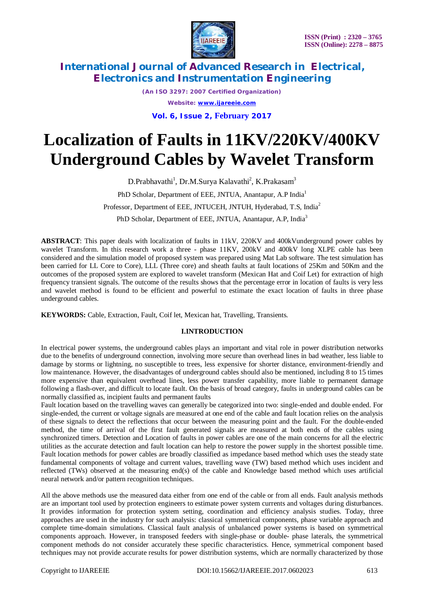

*(An ISO 3297: 2007 Certified Organization) Website: [www.ijareeie.com](http://www.ijareeie.com)* **Vol. 6, Issue 2, February 2017**

# **Localization of Faults in 11KV/220KV/400KV Underground Cables by Wavelet Transform**

D.Prabhavathi<sup>1</sup>, Dr.M.Surya Kalavathi<sup>2</sup>, K.Prakasam<sup>3</sup> PhD Scholar, Department of EEE, JNTUA, Anantapur, A.P India<sup>1</sup> Professor, Department of EEE, JNTUCEH, JNTUH, Hyderabad, T.S, India<sup>2</sup> PhD Scholar, Department of EEE, JNTUA, Anantapur, A.P, India<sup>3</sup>

**ABSTRACT**: This paper deals with localization of faults in 11kV, 220KV and 400kVunderground power cables by wavelet Transform. In this research work a three - phase 11KV, 200kV and 400kV long XLPE cable has been considered and the simulation model of proposed system was prepared using Mat Lab software. The test simulation has been carried for LL Core to Core), LLL (Three core) and sheath faults at fault locations of 25Km and 50Km and the outcomes of the proposed system are explored to wavelet transform (Mexican Hat and Coif Let) for extraction of high frequency transient signals. The outcome of the results shows that the percentage error in location of faults is very less and wavelet method is found to be efficient and powerful to estimate the exact location of faults in three phase underground cables.

**KEYWORDS:** Cable, Extraction, Fault, Coif let, Mexican hat, Travelling, Transients.

#### **I.INTRODUCTION**

In electrical power systems, the underground cables plays an important and vital role in power distribution networks due to the benefits of underground connection, involving more secure than overhead lines in bad weather, less liable to damage by storms or lightning, no susceptible to trees, less expensive for shorter distance, environment-friendly and low maintenance. However, the disadvantages of underground cables should also be mentioned, including 8 to 15 times more expensive than equivalent overhead lines, less power transfer capability, more liable to permanent damage following a flash-over, and difficult to locate fault. On the basis of broad category, faults in underground cables can be normally classified as, incipient faults and permanent faults

Fault location based on the travelling waves can generally be categorized into two: single-ended and double ended. For single-ended, the current or voltage signals are measured at one end of the cable and fault location relies on the analysis of these signals to detect the reflections that occur between the measuring point and the fault. For the double-ended method, the time of arrival of the first fault generated signals are measured at both ends of the cables using synchronized timers. Detection and Location of faults in power cables are one of the main concerns for all the electric utilities as the accurate detection and fault location can help to restore the power supply in the shortest possible time. Fault location methods for power cables are broadly classified as impedance based method which uses the steady state fundamental components of voltage and current values, travelling wave (TW) based method which uses incident and reflected (TWs) observed at the measuring end(s) of the cable and Knowledge based method which uses artificial neural network and/or pattern recognition techniques.

All the above methods use the measured data either from one end of the cable or from all ends. Fault analysis methods are an important tool used by protection engineers to estimate power system currents and voltages during disturbances. It provides information for protection system setting, coordination and efficiency analysis studies. Today, three approaches are used in the industry for such analysis: classical symmetrical components, phase variable approach and complete time-domain simulations. Classical fault analysis of unbalanced power systems is based on symmetrical components approach. However, in transposed feeders with single-phase or double- phase laterals, the symmetrical component methods do not consider accurately these specific characteristics. Hence, symmetrical component based techniques may not provide accurate results for power distribution systems, which are normally characterized by those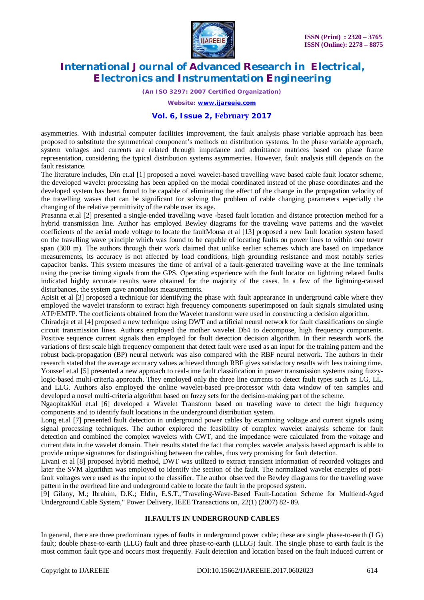

*(An ISO 3297: 2007 Certified Organization)*

*Website: [www.ijareeie.com](http://www.ijareeie.com)*

#### **Vol. 6, Issue 2, February 2017**

asymmetries. With industrial computer facilities improvement, the fault analysis phase variable approach has been proposed to substitute the symmetrical component's methods on distribution systems. In the phase variable approach, system voltages and currents are related through impedance and admittance matrices based on phase frame representation, considering the typical distribution systems asymmetries. However, fault analysis still depends on the fault resistance.

The literature includes, Din et.al [1] proposed a novel wavelet-based travelling wave based cable fault locator scheme, the developed wavelet processing has been applied on the modal coordinated instead of the phase coordinates and the developed system has been found to be capable of eliminating the effect of the change in the propagation velocity of the travelling waves that can be significant for solving the problem of cable changing parameters especially the changing of the relative permittivity of the cable over its age.

Prasanna et.al [2] presented a single-ended travelling wave -based fault location and distance protection method for a hybrid transmission line. Author has employed Bewley diagrams for the traveling wave patterns and the wavelet coefficients of the aerial mode voltage to locate the faultMousa et al [13] proposed a new fault location system based on the travelling wave principle which was found to be capable of locating faults on power lines to within one tower span (300 m). The authors through their work claimed that unlike earlier schemes which are based on impedance measurements, its accuracy is not affected by load conditions, high grounding resistance and most notably series capacitor banks. This system measures the time of arrival of a fault-generated travelling wave at the line terminals using the precise timing signals from the GPS. Operating experience with the fault locator on lightning related faults indicated highly accurate results were obtained for the majority of the cases. In a few of the lightning-caused disturbances, the system gave anomalous measurements.

Apisit et al [3] proposed a technique for identifying the phase with fault appearance in underground cable where they employed the wavelet transform to extract high frequency components superimposed on fault signals simulated using ATP/EMTP. The coefficients obtained from the Wavelet transform were used in constructing a decision algorithm.

Chiradeja et al [4] proposed a new technique using DWT and artificial neural network for fault classifications on single circuit transmission lines. Authors employed the mother wavelet Db4 to decompose, high frequency components. Positive sequence current signals then employed for fault detection decision algorithm. In their research worK the variations of first scale high frequency component that detect fault were used as an input for the training pattern and the robust back-propagation (BP) neural network was also compared with the RBF neural network. The authors in their research stated that the average accuracy values achieved through RBF gives satisfactory results with less training time. Youssef et.al [5] presented a new approach to real-time fault classification in power transmission systems using fuzzylogic-based multi-criteria approach. They employed only the three line currents to detect fault types such as LG, LL,

and LLG. Authors also employed the online wavelet-based pre-processor with data window of ten samples and developed a novel multi-criteria algorithm based on fuzzy sets for the decision-making part of the scheme.

NgaopitakKul et.al [6] developed a Wavelet Transform based on traveling wave to detect the high frequency components and to identify fault locations in the underground distribution system.

Long et.al [7] presented fault detection in underground power cables by examining voltage and current signals using signal processing techniques. The author explored the feasibility of complex wavelet analysis scheme for fault detection and combined the complex wavelets with CWT, and the impedance were calculated from the voltage and current data in the wavelet domain. Their results stated the fact that complex wavelet analysis based approach is able to provide unique signatures for distinguishing between the cables, thus very promising for fault detection.

Livani et al [8] proposed hybrid method, DWT was utilized to extract transient information of recorded voltages and later the SVM algorithm was employed to identify the section of the fault. The normalized wavelet energies of postfault voltages were used as the input to the classifier. The author observed the Bewley diagrams for the traveling wave pattern in the overhead line and underground cable to locate the fault in the proposed system.

[9] Gilany, M.; Ibrahim, D.K.; Eldin, E.S.T.,"Traveling-Wave-Based Fault-Location Scheme for Multiend-Aged Underground Cable System," Power Delivery, IEEE Transactions on, 22(1) (2007) 82- 89.

#### **II.FAULTS IN UNDERGROUND CABLES**

In general, there are three predominant types of faults in underground power cable; these are single phase-to-earth (LG) fault; double phase-to-earth (LLG) fault and three phase-to-earth (LLLG) fault. The single phase to earth fault is the most common fault type and occurs most frequently. Fault detection and location based on the fault induced current or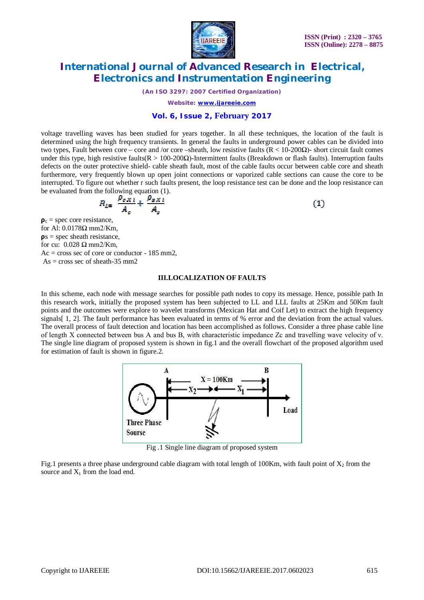

 $(1)$ 

### **International Journal of Advanced Research in Electrical, Electronics and Instrumentation Engineering**

*(An ISO 3297: 2007 Certified Organization)*

*Website: [www.ijareeie.com](http://www.ijareeie.com)*

#### **Vol. 6, Issue 2, February 2017**

voltage travelling waves has been studied for years together. In all these techniques, the location of the fault is determined using the high frequency transients. In general the faults in underground power cables can be divided into two types, Fault between core – core and /or core –sheath, low resistive faults (R < 10-200Ω)- short circuit fault comes under this type, high resistive faults( $R > 100-200\Omega$ )-Intermittent faults (Breakdown or flash faults). Interruption faults defects on the outer protective shield- cable sheath fault, most of the cable faults occur between cable core and sheath furthermore, very frequently blown up open joint connections or vaporized cable sections can cause the core to be interrupted. To figure out whether r such faults present, the loop resistance test can be done and the loop resistance can be evaluated from the following equation (1).

$$
R_{L} = \frac{\rho_{cXl}}{A_c} + \frac{\rho_{sXl}}{A_s}
$$

 $\rho_c$  = spec core resistance, for Al: 0.0178Ω mm2/Km,  $\mathbf{p}$ s = spec sheath resistance, for cu:  $0.028 \Omega$  mm2/Km,  $Ac = cross sec of core or conductor - 185 mm<sub>2</sub>$ , As = cross sec of sheath-35 mm2

#### **III.LOCALIZATION OF FAULTS**

In this scheme, each node with message searches for possible path nodes to copy its message. Hence, possible path In this research work, initially the proposed system has been subjected to LL and LLL faults at 25Km and 50Km fault points and the outcomes were explore to wavelet transforms (Mexican Hat and Coif Let) to extract the high frequency signals[ 1, 2]. The fault performance has been evaluated in terms of % error and the deviation from the actual values. The overall process of fault detection and location has been accomplished as follows. Consider a three phase cable line of length X connected between bus A and bus B, with characteristic impedance Zc and travelling wave velocity of ν. The single line diagram of proposed system is shown in fig.1 and the overall flowchart of the proposed algorithm used for estimation of fault is shown in figure.2.



Fig .1 Single line diagram of proposed system

Fig.1 presents a three phase underground cable diagram with total length of 100Km, with fault point of  $X_2$  from the source and  $X_1$  from the load end.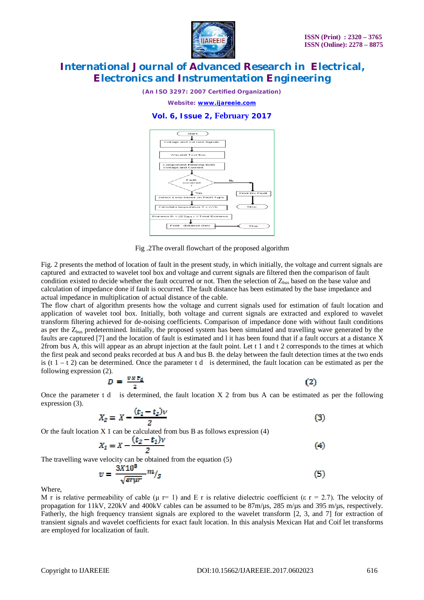

*(An ISO 3297: 2007 Certified Organization)*

*Website: [www.ijareeie.com](http://www.ijareeie.com)*

#### **Vol. 6, Issue 2, February 2017**



Fig .2The overall flowchart of the proposed algorithm

Fig. 2 presents the method of location of fault in the present study, in which initially, the voltage and current signals are captured and extracted to wavelet tool box and voltage and current signals are filtered then the comparison of fault condition existed to decide whether the fault occurred or not. Then the selection of  $Z_{bus}$  based on the base value and calculation of impedance done if fault is occurred. The fault distance has been estimated by the base impedance and actual impedance in multiplication of actual distance of the cable.

The flow chart of algorithm presents how the voltage and current signals used for estimation of fault location and application of wavelet tool box. Initially, both voltage and current signals are extracted and explored to wavelet transform filtering achieved for de-noising coefficients. Comparison of impedance done with without fault conditions as per the Z<sub>bus</sub> predetermined. Initially, the proposed system has been simulated and travelling wave generated by the faults are captured [7] and the location of fault is estimated and l it has been found that if a fault occurs at a distance X 2from bus A, this will appear as an abrupt injection at the fault point. Let t 1 and t 2 corresponds to the times at which the first peak and second peaks recorded at bus A and bus B. the delay between the fault detection times at the two ends is (t  $1 - t$  2) can be determined. Once the parameter t d is determined, the fault location can be estimated as per the following expression (2).

$$
D = \frac{vx \, t_d}{2} \tag{2}
$$

Once the parameter t d is determined, the fault location  $X$  2 from bus A can be estimated as per the following expression (3).

$$
X_2 = X - \frac{(t_1 - t_2)\nu}{2} \tag{3}
$$

Or the fault location  $X_1$  can be calculated from bus B as follows expression (4)

$$
X_2 = X - \frac{(t_2 - t_1)v}{2}
$$
 (4)

The travelling wave velocity can be obtained from the equation (5)

$$
v = \frac{3X10^8}{\sqrt{\varepsilon r \mu r}} m /_{S} \tag{5}
$$

Where,

M r is relative permeability of cable (μ r= 1) and E r is relative dielectric coefficient (ε r = 2.7). The velocity of propagation for 11kV, 220kV and 400kV cables can be assumed to be 87m/µs, 285 m/µs and 395 m/µs, respectively. Fatherly, the high frequency transient signals are explored to the wavelet transform [2, 3, and 7] for extraction of transient signals and wavelet coefficients for exact fault location. In this analysis Mexican Hat and Coif let transforms are employed for localization of fault.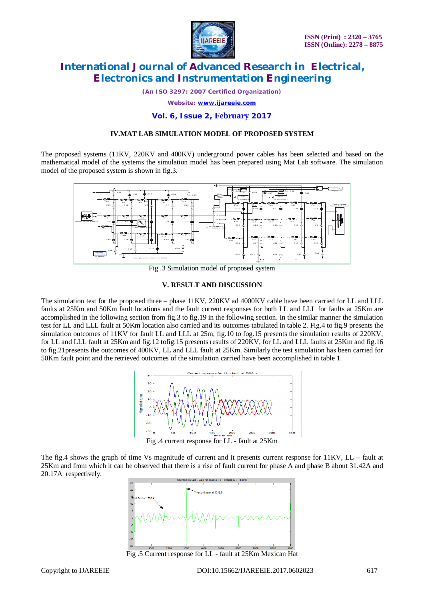

*(An ISO 3297: 2007 Certified Organization)*

*Website: [www.ijareeie.com](http://www.ijareeie.com)*

#### **Vol. 6, Issue 2, February 2017**

#### **IV.MAT LAB SIMULATION MODEL OF PROPOSED SYSTEM**

The proposed systems (11KV, 220KV and 400KV) underground power cables has been selected and based on the mathematical model of the systems the simulation model has been prepared using Mat Lab software. The simulation model of the proposed system is shown in fig.3.



Fig .3 Simulation model of proposed system

#### **V. RESULT AND DISCUSSION**

The simulation test for the proposed three – phase 11KV, 220KV ad 4000KV cable have been carried for LL and LLL faults at 25Km and 50Km fault locations and the fault current responses for both LL and LLL for faults at 25Km are accomplished in the following section from fig.3 to fig.19 in the following section. In the similar manner the simulation test for LL and LLL fault at 50Km location also carried and its outcomes tabulated in table 2. Fig.4 to fig.9 presents the simulation outcomes of 11KV for fault LL and LLL at 25m, fig.10 to fog.15 presents the simulation results of 220KV, for LL and LLL fault at 25Km and fig.12 tofig.15 presents results of 220KV, for LL and LLL faults at 25Km and fig.16 to fig.21presents the outcomes of 400KV, LL and LLL fault at 25Km. Similarly the test simulation has been carried for 50Km fault point and the retrieved outcomes of the simulation carried have been accomplished in table 1.



Fig .4 current response for LL - fault at 25Km

The fig.4 shows the graph of time Vs magnitude of current and it presents current response for 11KV, LL – fault at 25Km and from which it can be observed that there is a rise of fault current for phase A and phase B about 31.42A and 20.17A respectively.



Fig .5 Current response for LL - fault at 25Km Mexican Hat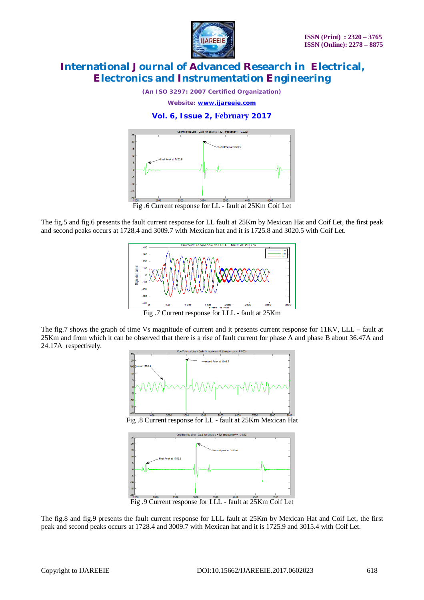

*(An ISO 3297: 2007 Certified Organization)*

*Website: [www.ijareeie.com](http://www.ijareeie.com)*

### **Vol. 6, Issue 2, February 2017**



Fig .6 Current response for LL - fault at 25Km Coif Let

The fig.5 and fig.6 presents the fault current response for LL fault at 25Km by Mexican Hat and Coif Let, the first peak and second peaks occurs at 1728.4 and 3009.7 with Mexican hat and it is 1725.8 and 3020.5 with Coif Let.



Fig .7 Current response for LLL - fault at 25Km

The fig.7 shows the graph of time Vs magnitude of current and it presents current response for 11KV, LLL – fault at 25Km and from which it can be observed that there is a rise of fault current for phase A and phase B about 36.47A and 24.17A respectively.



Fig .8 Current response for LL - fault at 25Km Mexican Hat



Fig .9 Current response for LLL - fault at 25Km Coif Let

The fig.8 and fig.9 presents the fault current response for LLL fault at 25Km by Mexican Hat and Coif Let, the first peak and second peaks occurs at 1728.4 and 3009.7 with Mexican hat and it is 1725.9 and 3015.4 with Coif Let.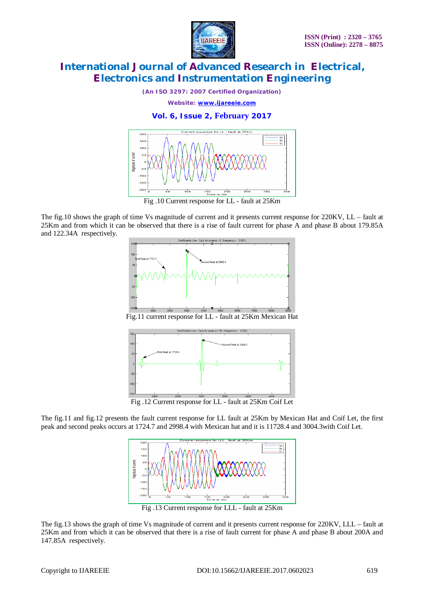

*(An ISO 3297: 2007 Certified Organization)*

*Website: [www.ijareeie.com](http://www.ijareeie.com)*

### **Vol. 6, Issue 2, February 2017**



The fig.10 shows the graph of time Vs magnitude of current and it presents current response for 220KV, LL – fault at 25Km and from which it can be observed that there is a rise of fault current for phase A and phase B about 179.85A and 122.34A respectively.



Fig.11 current response for LL - fault at 25Km Mexican Hat



Fig .12 Current response for LL - fault at 25Km Coif Let

The fig.11 and fig.12 presents the fault current response for LL fault at 25Km by Mexican Hat and Coif Let, the first peak and second peaks occurs at 1724.7 and 2998.4 with Mexican hat and it is 11728.4 and 3004.3with Coif Let.



Fig .13 Current response for LLL - fault at 25Km

The fig.13 shows the graph of time Vs magnitude of current and it presents current response for 220KV, LLL – fault at 25Km and from which it can be observed that there is a rise of fault current for phase A and phase B about 200A and 147.85A respectively.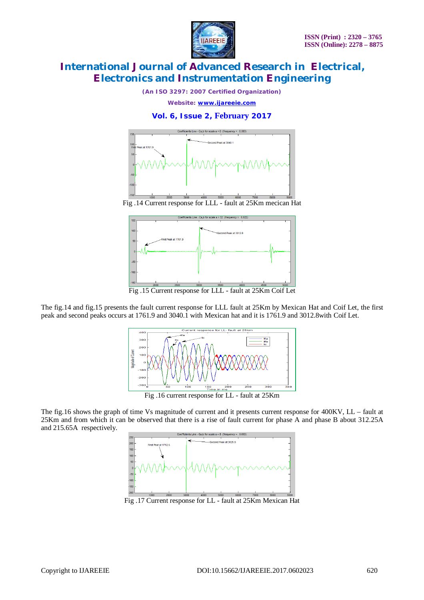

*(An ISO 3297: 2007 Certified Organization)*

*Website: [www.ijareeie.com](http://www.ijareeie.com)*

#### **Vol. 6, Issue 2, February 2017**



Fig .14 Current response for LLL - fault at 25Km mecican Hat



Fig .15 Current response for LLL - fault at 25Km Coif Let

The fig.14 and fig.15 presents the fault current response for LLL fault at 25Km by Mexican Hat and Coif Let, the first peak and second peaks occurs at 1761.9 and 3040.1 with Mexican hat and it is 1761.9 and 3012.8with Coif Let.



Fig .16 current response for LL - fault at 25Km

The fig.16 shows the graph of time Vs magnitude of current and it presents current response for 400KV, LL – fault at 25Km and from which it can be observed that there is a rise of fault current for phase A and phase B about 312.25A and 215.65A respectively.

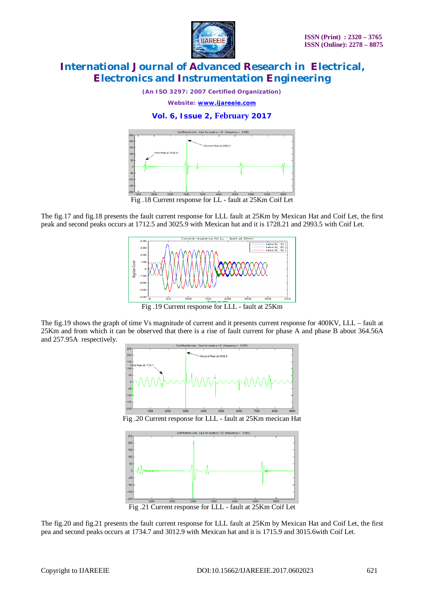

*(An ISO 3297: 2007 Certified Organization)*

*Website: [www.ijareeie.com](http://www.ijareeie.com)*

### **Vol. 6, Issue 2, February 2017**



The fig.17 and fig.18 presents the fault current response for LLL fault at 25Km by Mexican Hat and Coif Let, the first peak and second peaks occurs at 1712.5 and 3025.9 with Mexican hat and it is 1728.21 and 2993.5 with Coif Let.



Fig .19 Current response for LLL - fault at 25Km

The fig.19 shows the graph of time Vs magnitude of current and it presents current response for 400KV, LLL – fault at 25Km and from which it can be observed that there is a rise of fault current for phase A and phase B about 364.56A and 257.95A respectively.



Fig .20 Current response for LLL - fault at 25Km mecican Hat



Fig .21 Current response for LLL - fault at 25Km Coif Let

The fig.20 and fig.21 presents the fault current response for LLL fault at 25Km by Mexican Hat and Coif Let, the first pea and second peaks occurs at 1734.7 and 3012.9 with Mexican hat and it is 1715.9 and 3015.6with Coif Let.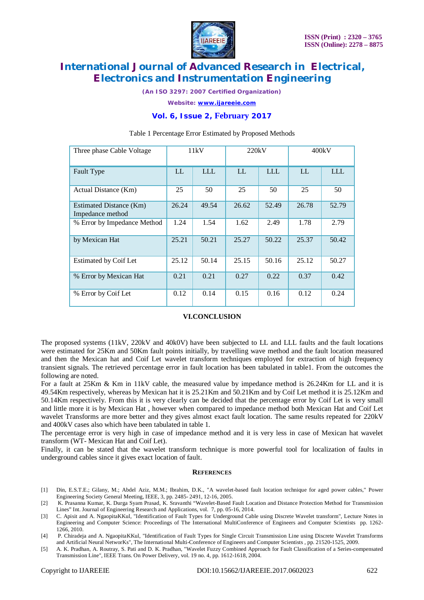

*(An ISO 3297: 2007 Certified Organization)*

*Website: [www.ijareeie.com](http://www.ijareeie.com)*

### **Vol. 6, Issue 2, February 2017**

| Three phase Cable Voltage                   | 11kV  |       | 220kV |       | 400kV |       |
|---------------------------------------------|-------|-------|-------|-------|-------|-------|
| Fault Type                                  | LL    | LLL   | LL    | LLL   | LL    | LLL   |
| Actual Distance (Km)                        | 25    | 50    | 25    | 50    | 25    | 50    |
| Estimated Distance (Km)<br>Impedance method | 26.24 | 49.54 | 26.62 | 52.49 | 26.78 | 52.79 |
| % Error by Impedance Method                 | 1.24  | 1.54  | 1.62  | 2.49  | 1.78  | 2.79  |
| by Mexican Hat                              | 25.21 | 50.21 | 25.27 | 50.22 | 25.37 | 50.42 |
| <b>Estimated by Coif Let</b>                | 25.12 | 50.14 | 25.15 | 50.16 | 25.12 | 50.27 |
| % Error by Mexican Hat                      | 0.21  | 0.21  | 0.27  | 0.22  | 0.37  | 0.42  |
| % Error by Coif Let                         | 0.12  | 0.14  | 0.15  | 0.16  | 0.12  | 0.24  |

#### Table 1 Percentage Error Estimated by Proposed Methods

#### **VI.CONCLUSION**

The proposed systems (11kV, 220kV and 40k0V) have been subjected to LL and LLL faults and the fault locations were estimated for 25Km and 50Km fault points initially, by travelling wave method and the fault location measured and then the Mexican hat and Coif Let wavelet transform techniques employed for extraction of high frequency transient signals. The retrieved percentage error in fault location has been tabulated in table1. From the outcomes the following are noted.

For a fault at 25Km & Km in 11kV cable, the measured value by impedance method is 26.24Km for LL and it is 49.54Km respectively, whereas by Mexican hat it is 25.21Km and 50.21Km and by Coif Let method it is 25.12Km and 50.14Km respectively. From this it is very clearly can be decided that the percentage error by Coif Let is very small and little more it is by Mexican Hat , however when compared to impedance method both Mexican Hat and Coif Let wavelet Transforms are more better and they gives almost exact fault location. The same results repeated for 220kV and 400kV cases also which have been tabulated in table 1.

The percentage error is very high in case of impedance method and it is very less in case of Mexican hat wavelet transform (WT- Mexican Hat and Coif Let).

Finally, it can be stated that the wavelet transform technique is more powerful tool for localization of faults in underground cables since it gives exact location of fault.

#### **REFERENCES**

- [1] Din, E.S.T.E.; Gilany, M.; Abdel Aziz, M.M.; Ibrahim, D.K., "A wavelet-based fault location technique for aged power cables," Power Engineering Society General Meeting, IEEE, 3, pp. 2485- 2491, 12-16, 2005.
- [2] K. Prasanna Kumar, K. Durga Syam Prasad, K. Sravanthi "Wavelet-Based Fault Location and Distance Protection Method for Transmission Lines" Int. Journal of Engineering Research and Applications, vol. 7, pp. 05-16, 2014.
- [3] C. Apisit and A. NgaopitaKKul, "Identification of Fault Types for Underground Cable using Discrete Wavelet transform", Lecture Notes in Engineering and Computer Science: Proceedings of The International MultiConference of Engineers and Computer Scientists pp. 1262- 1266, 2010.
- [4] P. Chiradeja and A. NgaopitaKKul, "Identification of Fault Types for Single Circuit Transmission Line using Discrete Wavelet Transforms and Artificial Neural NetworKs", The International Multi-Conference of Engineers and Computer Scientists , pp. 21520-1525, 2009.
- [5] A. K. Pradhan, A. Routray, S. Pati and D. K. Pradhan, "Wavelet Fuzzy Combined Approach for Fault Classification of a Series-compensated Transmission Line", IEEE Trans. On Power Delivery, vol. 19 no. 4, pp. 1612-1618, 2004.